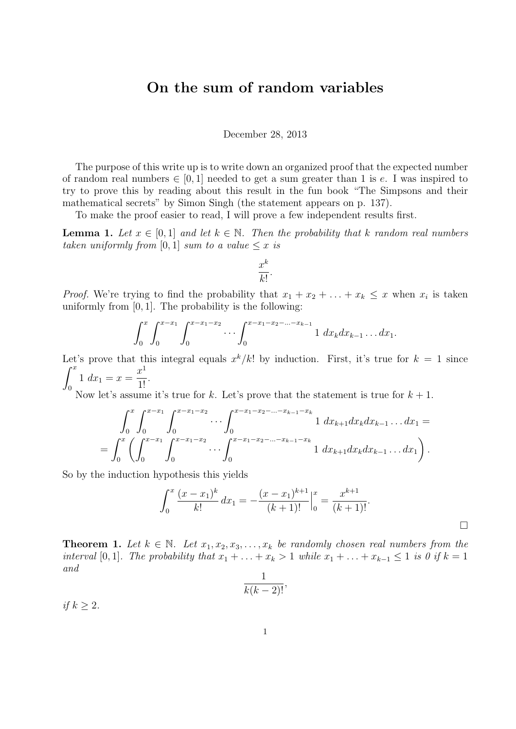## On the sum of random variables

December 28, 2013

The purpose of this write up is to write down an organized proof that the expected number of random real numbers  $\in [0,1]$  needed to get a sum greater than 1 is e. I was inspired to try to prove this by reading about this result in the fun book "The Simpsons and their mathematical secrets" by Simon Singh (the statement appears on p. 137).

To make the proof easier to read, I will prove a few independent results first.

**Lemma 1.** Let  $x \in [0,1]$  and let  $k \in \mathbb{N}$ . Then the probability that k random real numbers taken uniformly from [0, 1] sum to a value  $\leq x$  is

$$
\frac{x^k}{k!}.
$$

*Proof.* We're trying to find the probability that  $x_1 + x_2 + \ldots + x_k \leq x$  when  $x_i$  is taken uniformly from  $[0, 1]$ . The probability is the following:

$$
\int_0^x \int_0^{x-x_1} \int_0^{x-x_1-x_2} \cdots \int_0^{x-x_1-x_2-\cdots-x_{k-1}} 1 \ dx_k dx_{k-1} \ldots dx_1.
$$

Let's prove that this integral equals  $x^k/k!$  by induction. First, it's true for  $k = 1$  since  $\int_0^x$  $\boldsymbol{0}$  $1 \, dx_1 = x =$  $x^1$  $\frac{1}{1!}$ .

Now let's assume it's true for k. Let's prove that the statement is true for  $k + 1$ .

$$
\int_0^x \int_0^{x-x_1} \int_0^{x-x_1-x_2} \cdots \int_0^{x-x_1-x_2-\cdots-x_{k-1}-x_k} 1 \, dx_{k+1} dx_k dx_{k-1} \ldots dx_1 =
$$
\n
$$
= \int_0^x \left( \int_0^{x-x_1} \int_0^{x-x_1-x_2} \cdots \int_0^{x-x_1-x_2-\cdots-x_{k-1}-x_k} 1 \, dx_{k+1} dx_k dx_{k-1} \ldots dx_1 \right).
$$

So by the induction hypothesis this yields

$$
\int_0^x \frac{(x-x_1)^k}{k!} dx_1 = -\frac{(x-x_1)^{k+1}}{(k+1)!} \Big|_0^x = \frac{x^{k+1}}{(k+1)!}.
$$

**Theorem 1.** Let  $k \in \mathbb{N}$ . Let  $x_1, x_2, x_3, \ldots, x_k$  be randomly chosen real numbers from the interval [0, 1]. The probability that  $x_1 + \ldots + x_k > 1$  while  $x_1 + \ldots + x_{k-1} \leq 1$  is 0 if  $k = 1$ and

$$
\frac{1}{k(k-2)!},
$$

if  $k \geq 2$ .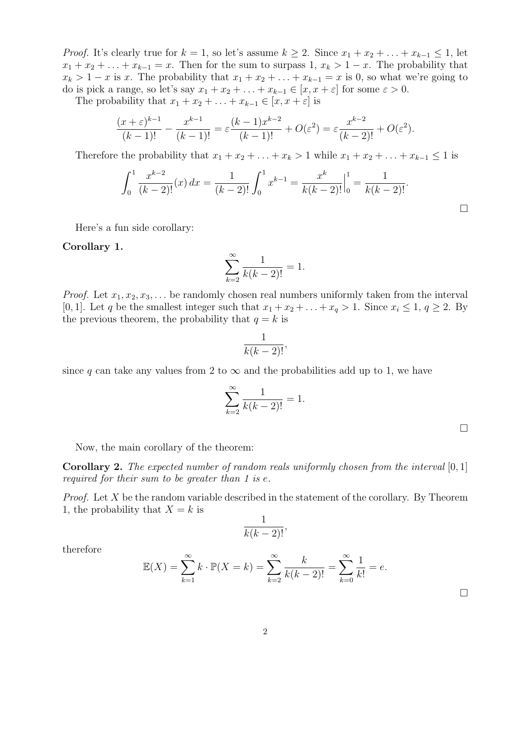*Proof.* It's clearly true for  $k = 1$ , so let's assume  $k \geq 2$ . Since  $x_1 + x_2 + \ldots + x_{k-1} \leq 1$ , let  $x_1 + x_2 + \ldots + x_{k-1} = x$ . Then for the sum to surpass 1,  $x_k > 1-x$ . The probability that  $x_k > 1-x$  is x. The probability that  $x_1 + x_2 + \ldots + x_{k-1} = x$  is 0, so what we're going to do is pick a range, so let's say  $x_1 + x_2 + \ldots + x_{k-1} \in [x, x + \varepsilon]$  for some  $\varepsilon > 0$ .

The probability that  $x_1 + x_2 + \ldots + x_{k-1} \in [x, x + \varepsilon]$  is

$$
\frac{(x+\varepsilon)^{k-1}}{(k-1)!} - \frac{x^{k-1}}{(k-1)!} = \varepsilon \frac{(k-1)x^{k-2}}{(k-1)!} + O(\varepsilon^2) = \varepsilon \frac{x^{k-2}}{(k-2)!} + O(\varepsilon^2).
$$

Therefore the probability that  $x_1 + x_2 + \ldots + x_k > 1$  while  $x_1 + x_2 + \ldots + x_{k-1} \leq 1$  is

$$
\int_0^1 \frac{x^{k-2}}{(k-2)!} (x) \, dx = \frac{1}{(k-2)!} \int_0^1 x^{k-1} = \frac{x^k}{k(k-2)!} \Big|_0^1 = \frac{1}{k(k-2)!}.
$$

Here's a fun side corollary:

## Corollary 1.

$$
\sum_{k=2}^{\infty} \frac{1}{k(k-2)!} = 1.
$$

*Proof.* Let  $x_1, x_2, x_3, \ldots$  be randomly chosen real numbers uniformly taken from the interval [0, 1]. Let q be the smallest integer such that  $x_1 + x_2 + \ldots + x_q > 1$ . Since  $x_i \leq 1, q \geq 2$ . By the previous theorem, the probability that  $q = k$  is

$$
\frac{1}{k(k-2)!},
$$

since q can take any values from 2 to  $\infty$  and the probabilities add up to 1, we have

$$
\sum_{k=2}^{\infty} \frac{1}{k(k-2)!} = 1.
$$

 $\Box$ 

 $\Box$ 

Now, the main corollary of the theorem:

**Corollary 2.** The expected number of random reals uniformly chosen from the interval  $[0,1]$ required for their sum to be greater than 1 is e.

*Proof.* Let X be the random variable described in the statement of the corollary. By Theorem 1, the probability that  $X = k$  is

$$
\frac{1}{k(k-2)!},
$$

therefore

$$
\mathbb{E}(X) = \sum_{k=1}^{\infty} k \cdot \mathbb{P}(X = k) = \sum_{k=2}^{\infty} \frac{k}{k(k-2)!} = \sum_{k=0}^{\infty} \frac{1}{k!} = e.
$$

 $\Box$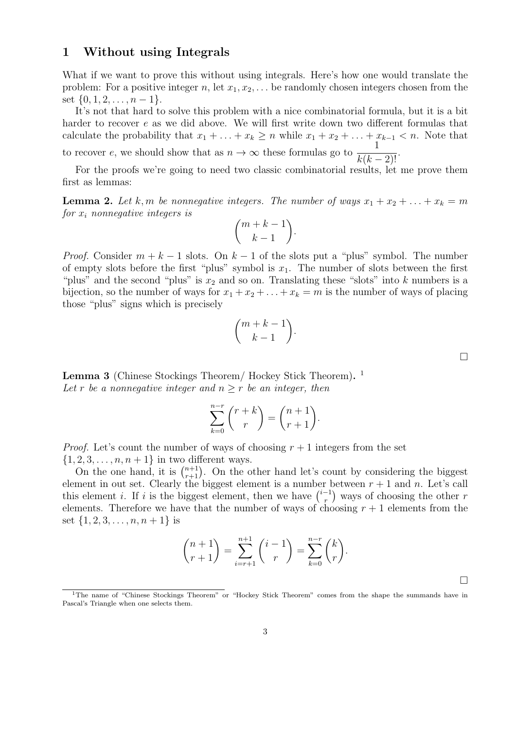## 1 Without using Integrals

What if we want to prove this without using integrals. Here's how one would translate the problem: For a positive integer n, let  $x_1, x_2, \ldots$  be randomly chosen integers chosen from the set  $\{0, 1, 2, \ldots, n-1\}.$ 

It's not that hard to solve this problem with a nice combinatorial formula, but it is a bit harder to recover e as we did above. We will first write down two different formulas that calculate the probability that  $x_1 + \ldots + x_k \ge n$  while  $x_1 + x_2 + \ldots + x_{k-1} < n$ . Note that to recover e, we should show that as  $n \to \infty$  these formulas go to  $\frac{1}{1}$ 

 $\frac{1}{k(k-2)!}$ .

For the proofs we're going to need two classic combinatorial results, let me prove them first as lemmas:

**Lemma 2.** Let k, m be nonnegative integers. The number of ways  $x_1 + x_2 + \ldots + x_k = m$ for  $x_i$  nonnegative integers is

$$
\binom{m+k-1}{k-1}.
$$

*Proof.* Consider  $m + k - 1$  slots. On  $k - 1$  of the slots put a "plus" symbol. The number of empty slots before the first "plus" symbol is  $x_1$ . The number of slots between the first "plus" and the second "plus" is  $x_2$  and so on. Translating these "slots" into k numbers is a bijection, so the number of ways for  $x_1 + x_2 + \ldots + x_k = m$  is the number of ways of placing those "plus" signs which is precisely

$$
\binom{m+k-1}{k-1}
$$

.

Lemma 3 (Chinese Stockings Theorem/ Hockey Stick Theorem).<sup>1</sup> Let r be a nonnegative integer and  $n \geq r$  be an integer, then

$$
\sum_{k=0}^{n-r} {r+k \choose r} = {n+1 \choose r+1}.
$$

*Proof.* Let's count the number of ways of choosing  $r + 1$  integers from the set  $\{1, 2, 3, \ldots, n, n+1\}$  in two different ways.

On the one hand, it is  $\binom{n+1}{r+1}$ . On the other hand let's count by considering the biggest element in out set. Clearly the biggest element is a number between  $r + 1$  and n. Let's call this element *i*. If *i* is the biggest element, then we have  $\binom{i-1}{r}$  $r^{1}$ ) ways of choosing the other r elements. Therefore we have that the number of ways of choosing  $r + 1$  elements from the set  $\{1, 2, 3, \ldots, n, n+1\}$  is

$$
\binom{n+1}{r+1} = \sum_{i=r+1}^{n+1} \binom{i-1}{r} = \sum_{k=0}^{n-r} \binom{k}{r}.
$$

 $\Box$ 

 $\Box$ 

<sup>&</sup>lt;sup>1</sup>The name of "Chinese Stockings Theorem" or "Hockey Stick Theorem" comes from the shape the summands have in Pascal's Triangle when one selects them.